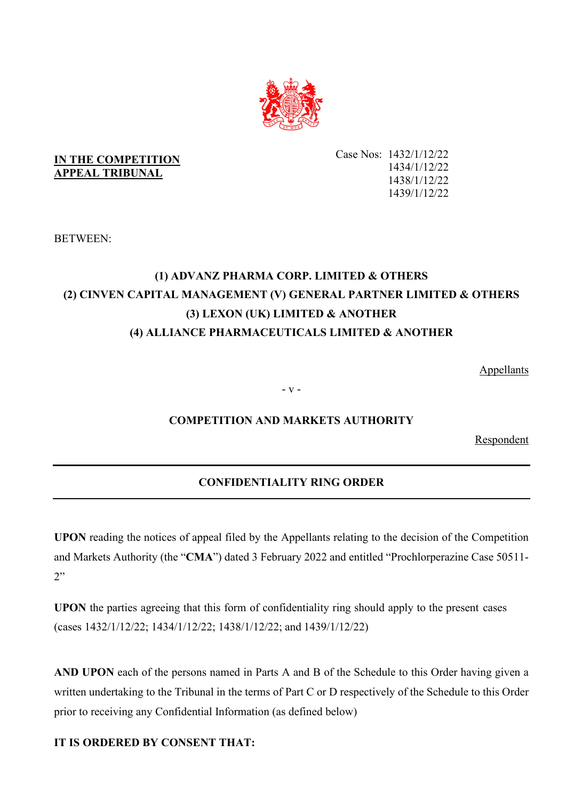

# **IN THE COMPETITION APPEAL TRIBUNAL**

Case Nos: 1432/1/12/22 1434/1/12/22 1438/1/12/22 1439/1/12/22

BETWEEN:

# **(1) ADVANZ PHARMA CORP. LIMITED & OTHERS (2) CINVEN CAPITAL MANAGEMENT (V) GENERAL PARTNER LIMITED & OTHERS (3) LEXON (UK) LIMITED & ANOTHER (4) ALLIANCE PHARMACEUTICALS LIMITED & ANOTHER**

Appellants

- v -

# **COMPETITION AND MARKETS AUTHORITY**

Respondent

# **CONFIDENTIALITY RING ORDER**

**UPON** reading the notices of appeal filed by the Appellants relating to the decision of the Competition and Markets Authority (the "**CMA**") dated 3 February 2022 and entitled "Prochlorperazine Case 50511-  $2"$ 

**UPON** the parties agreeing that this form of confidentiality ring should apply to the present cases (cases 1432/1/12/22; 1434/1/12/22; 1438/1/12/22; and 1439/1/12/22)

**AND UPON** each of the persons named in Parts A and B of the Schedule to this Order having given a written undertaking to the Tribunal in the terms of Part C or D respectively of the Schedule to this Order prior to receiving any Confidential Information (as defined below)

# **IT IS ORDERED BY CONSENT THAT:**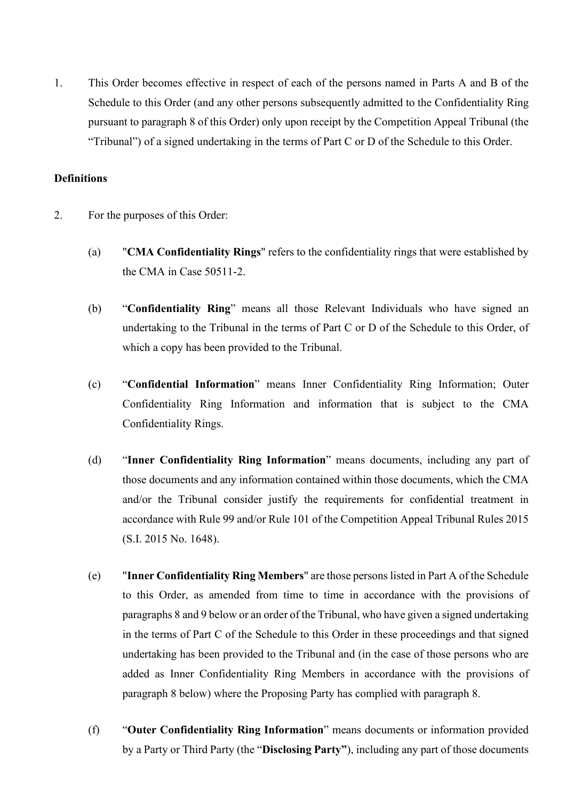1. This Order becomes effective in respect of each of the persons named in Parts A and B of the Schedule to this Order (and any other persons subsequently admitted to the Confidentiality Ring pursuant to paragraph 8 of this Order) only upon receipt by the Competition Appeal Tribunal (the "Tribunal") of a signed undertaking in the terms of Part C or D of the Schedule to this Order.

### **Definitions**

- 2. For the purposes of this Order:
	- (a) "**CMA Confidentiality Rings**" refers to the confidentiality rings that were established by the CMA in Case 50511-2.
	- (b) "**Confidentiality Ring**" means all those Relevant Individuals who have signed an undertaking to the Tribunal in the terms of Part C or D of the Schedule to this Order, of which a copy has been provided to the Tribunal.
	- (c) "**Confidential Information**" means Inner Confidentiality Ring Information; Outer Confidentiality Ring Information and information that is subject to the CMA Confidentiality Rings.
	- (d) "**Inner Confidentiality Ring Information**" means documents, including any part of those documents and any information contained within those documents, which the CMA and/or the Tribunal consider justify the requirements for confidential treatment in accordance with Rule 99 and/or Rule 101 of the Competition Appeal Tribunal Rules 2015 (S.I. 2015 No. 1648).
	- (e) "**Inner Confidentiality Ring Members**" are those persons listed in Part A of the Schedule to this Order, as amended from time to time in accordance with the provisions of paragraphs 8 and 9 below or an order of the Tribunal, who have given a signed undertaking in the terms of Part C of the Schedule to this Order in these proceedings and that signed undertaking has been provided to the Tribunal and (in the case of those persons who are added as Inner Confidentiality Ring Members in accordance with the provisions of paragraph 8 below) where the Proposing Party has complied with paragraph 8.
	- (f) "**Outer Confidentiality Ring Information**" means documents or information provided by a Party or Third Party (the "**Disclosing Party"**), including any part of those documents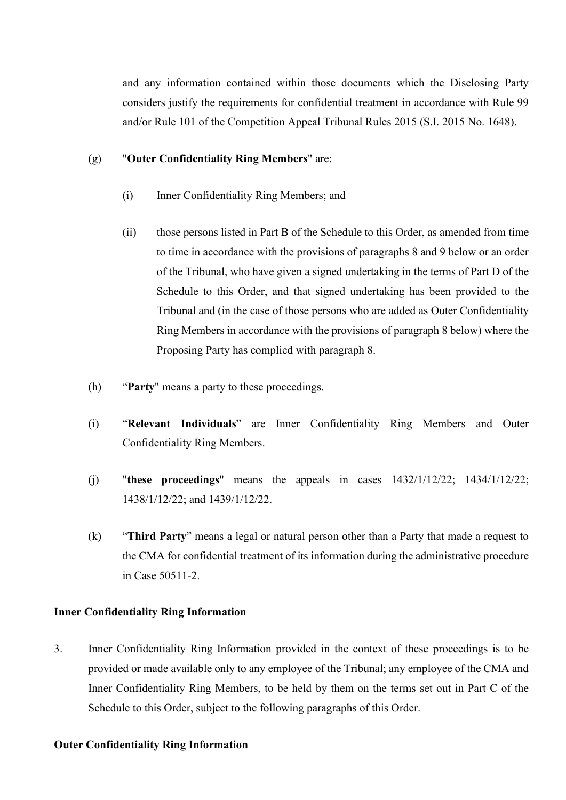and any information contained within those documents which the Disclosing Party considers justify the requirements for confidential treatment in accordance with Rule 99 and/or Rule 101 of the Competition Appeal Tribunal Rules 2015 (S.I. 2015 No. 1648).

### (g) "**Outer Confidentiality Ring Members**" are:

- (i) Inner Confidentiality Ring Members; and
- (ii) those persons listed in Part B of the Schedule to this Order, as amended from time to time in accordance with the provisions of paragraphs 8 and 9 below or an order of the Tribunal, who have given a signed undertaking in the terms of Part D of the Schedule to this Order, and that signed undertaking has been provided to the Tribunal and (in the case of those persons who are added as Outer Confidentiality Ring Members in accordance with the provisions of paragraph 8 below) where the Proposing Party has complied with paragraph 8.
- (h) "**Party**" means a party to these proceedings.
- (i) "**Relevant Individuals**" are Inner Confidentiality Ring Members and Outer Confidentiality Ring Members.
- (j) "**these proceedings**" means the appeals in cases 1432/1/12/22; 1434/1/12/22; 1438/1/12/22; and 1439/1/12/22.
- (k) "**Third Party**" means a legal or natural person other than a Party that made a request to the CMA for confidential treatment of its information during the administrative procedure in Case 50511-2.

# **Inner Confidentiality Ring Information**

3. Inner Confidentiality Ring Information provided in the context of these proceedings is to be provided or made available only to any employee of the Tribunal; any employee of the CMA and Inner Confidentiality Ring Members, to be held by them on the terms set out in Part C of the Schedule to this Order, subject to the following paragraphs of this Order.

### **Outer Confidentiality Ring Information**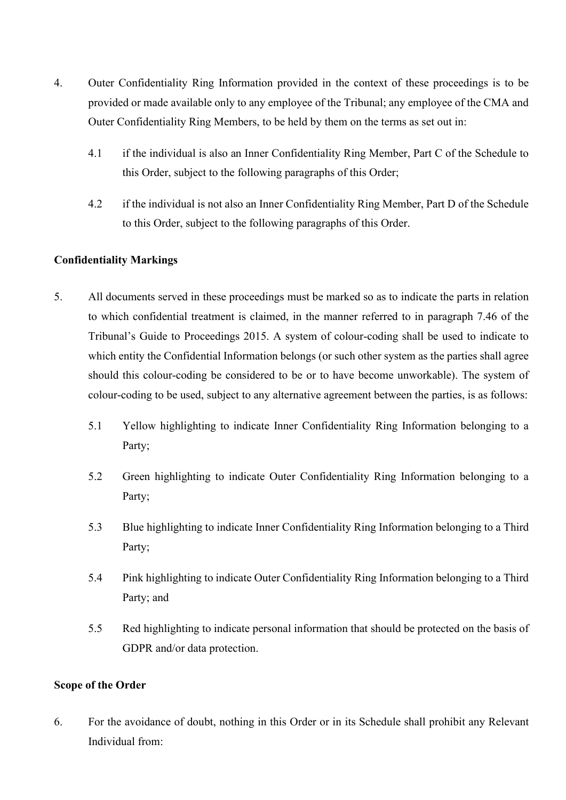- 4. Outer Confidentiality Ring Information provided in the context of these proceedings is to be provided or made available only to any employee of the Tribunal; any employee of the CMA and Outer Confidentiality Ring Members, to be held by them on the terms as set out in:
	- 4.1 if the individual is also an Inner Confidentiality Ring Member, Part C of the Schedule to this Order, subject to the following paragraphs of this Order;
	- 4.2 if the individual is not also an Inner Confidentiality Ring Member, Part D of the Schedule to this Order, subject to the following paragraphs of this Order.

# **Confidentiality Markings**

- 5. All documents served in these proceedings must be marked so as to indicate the parts in relation to which confidential treatment is claimed, in the manner referred to in paragraph 7.46 of the Tribunal's Guide to Proceedings 2015. A system of colour-coding shall be used to indicate to which entity the Confidential Information belongs (or such other system as the parties shall agree should this colour-coding be considered to be or to have become unworkable). The system of colour-coding to be used, subject to any alternative agreement between the parties, is as follows:
	- 5.1 Yellow highlighting to indicate Inner Confidentiality Ring Information belonging to a Party;
	- 5.2 Green highlighting to indicate Outer Confidentiality Ring Information belonging to a Party;
	- 5.3 Blue highlighting to indicate Inner Confidentiality Ring Information belonging to a Third Party;
	- 5.4 Pink highlighting to indicate Outer Confidentiality Ring Information belonging to a Third Party; and
	- 5.5 Red highlighting to indicate personal information that should be protected on the basis of GDPR and/or data protection.

# **Scope of the Order**

6. For the avoidance of doubt, nothing in this Order or in its Schedule shall prohibit any Relevant Individual from: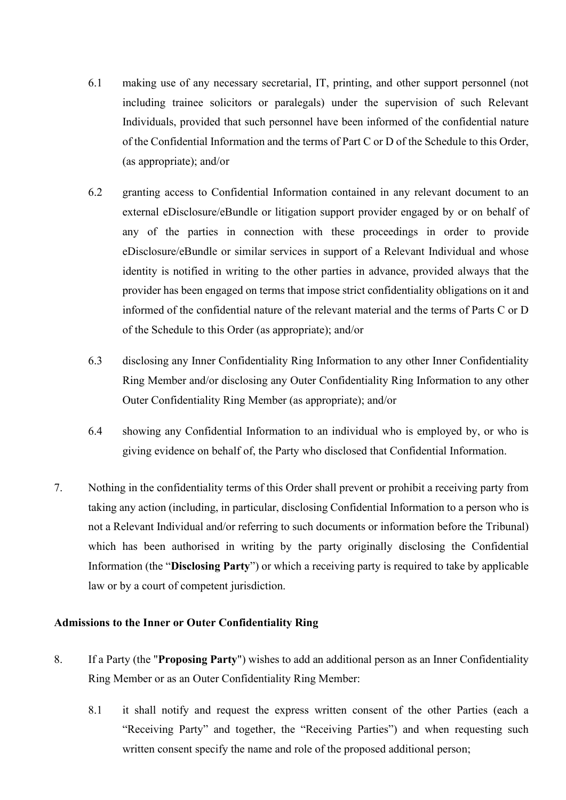- 6.1 making use of any necessary secretarial, IT, printing, and other support personnel (not including trainee solicitors or paralegals) under the supervision of such Relevant Individuals, provided that such personnel have been informed of the confidential nature of the Confidential Information and the terms of Part C or D of the Schedule to this Order, (as appropriate); and/or
- 6.2 granting access to Confidential Information contained in any relevant document to an external eDisclosure/eBundle or litigation support provider engaged by or on behalf of any of the parties in connection with these proceedings in order to provide eDisclosure/eBundle or similar services in support of a Relevant Individual and whose identity is notified in writing to the other parties in advance, provided always that the provider has been engaged on terms that impose strict confidentiality obligations on it and informed of the confidential nature of the relevant material and the terms of Parts C or D of the Schedule to this Order (as appropriate); and/or
- 6.3 disclosing any Inner Confidentiality Ring Information to any other Inner Confidentiality Ring Member and/or disclosing any Outer Confidentiality Ring Information to any other Outer Confidentiality Ring Member (as appropriate); and/or
- 6.4 showing any Confidential Information to an individual who is employed by, or who is giving evidence on behalf of, the Party who disclosed that Confidential Information.
- 7. Nothing in the confidentiality terms of this Order shall prevent or prohibit a receiving party from taking any action (including, in particular, disclosing Confidential Information to a person who is not a Relevant Individual and/or referring to such documents or information before the Tribunal) which has been authorised in writing by the party originally disclosing the Confidential Information (the "**Disclosing Party**") or which a receiving party is required to take by applicable law or by a court of competent jurisdiction.

### **Admissions to the Inner or Outer Confidentiality Ring**

- 8. If a Party (the "**Proposing Party**") wishes to add an additional person as an Inner Confidentiality Ring Member or as an Outer Confidentiality Ring Member:
	- 8.1 it shall notify and request the express written consent of the other Parties (each a "Receiving Party" and together, the "Receiving Parties") and when requesting such written consent specify the name and role of the proposed additional person;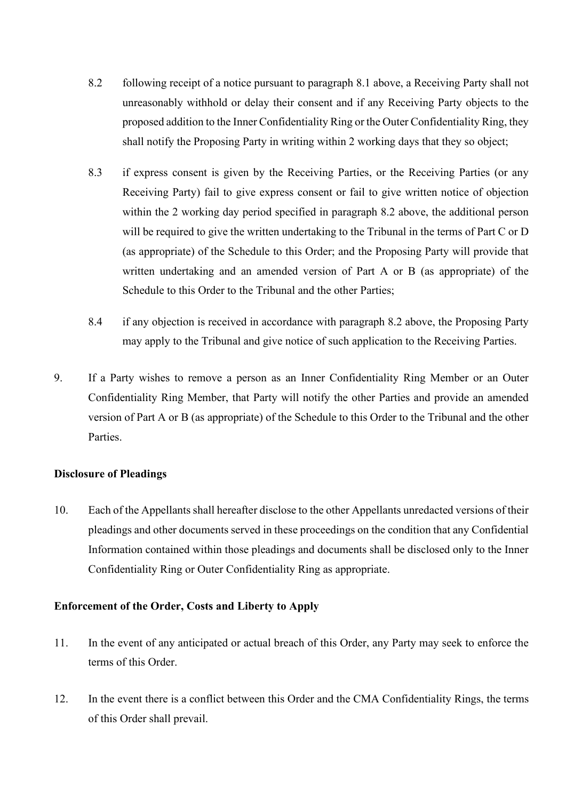- 8.2 following receipt of a notice pursuant to paragraph 8.1 above, a Receiving Party shall not unreasonably withhold or delay their consent and if any Receiving Party objects to the proposed addition to the Inner Confidentiality Ring or the Outer Confidentiality Ring, they shall notify the Proposing Party in writing within 2 working days that they so object;
- 8.3 if express consent is given by the Receiving Parties, or the Receiving Parties (or any Receiving Party) fail to give express consent or fail to give written notice of objection within the 2 working day period specified in paragraph 8.2 above, the additional person will be required to give the written undertaking to the Tribunal in the terms of Part C or D (as appropriate) of the Schedule to this Order; and the Proposing Party will provide that written undertaking and an amended version of Part A or B (as appropriate) of the Schedule to this Order to the Tribunal and the other Parties;
- 8.4 if any objection is received in accordance with paragraph 8.2 above, the Proposing Party may apply to the Tribunal and give notice of such application to the Receiving Parties.
- 9. If a Party wishes to remove a person as an Inner Confidentiality Ring Member or an Outer Confidentiality Ring Member, that Party will notify the other Parties and provide an amended version of Part A or B (as appropriate) of the Schedule to this Order to the Tribunal and the other Parties.

# **Disclosure of Pleadings**

10. Each of the Appellants shall hereafter disclose to the other Appellants unredacted versions of their pleadings and other documents served in these proceedings on the condition that any Confidential Information contained within those pleadings and documents shall be disclosed only to the Inner Confidentiality Ring or Outer Confidentiality Ring as appropriate.

# **Enforcement of the Order, Costs and Liberty to Apply**

- 11. In the event of any anticipated or actual breach of this Order, any Party may seek to enforce the terms of this Order.
- 12. In the event there is a conflict between this Order and the CMA Confidentiality Rings, the terms of this Order shall prevail.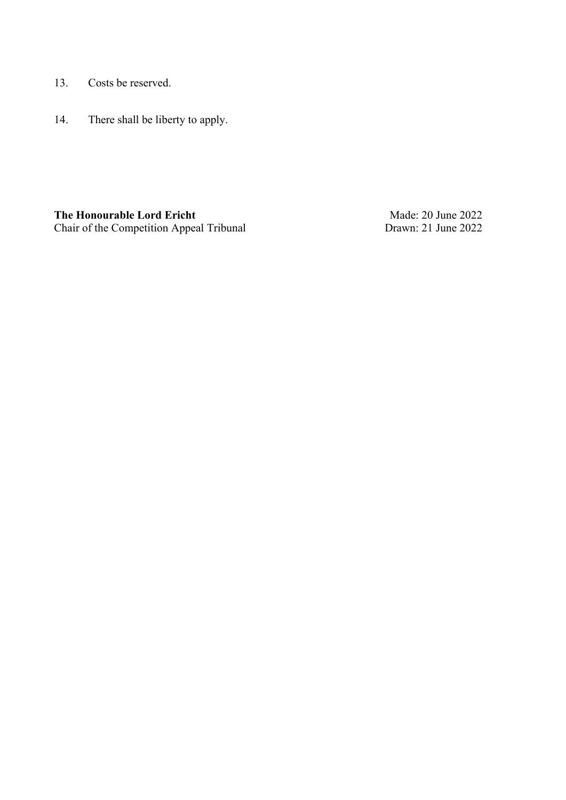- 13. Costs be reserved.
- 14. There shall be liberty to apply.

**The Honourable Lord Ericht** Chair of the Competition Appeal Tribunal

Made: 20 June 2022 Drawn: 21 June 2022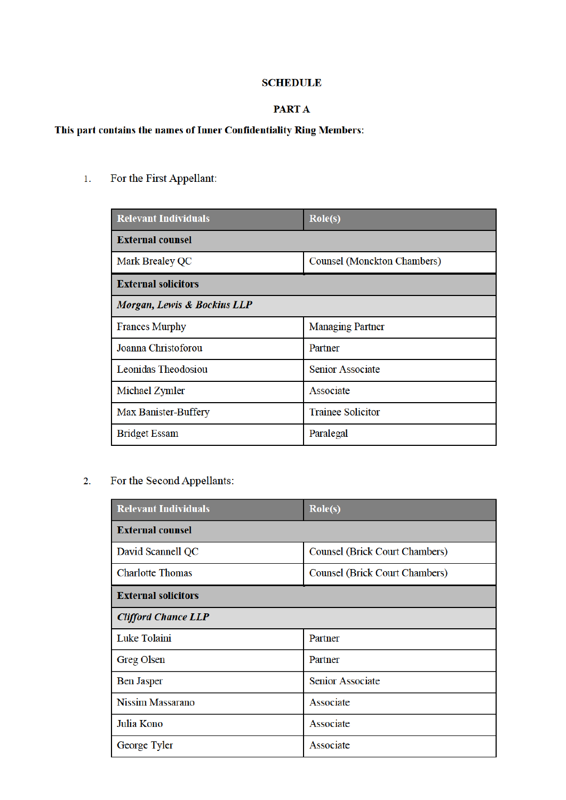# **SCHEDULE**

### PART A

# This part contains the names of Inner Confidentiality Ring Members:

 $\overline{1}$ . For the First Appellant:

| <b>Relevant Individuals</b> | $\text{Role}(s)$                   |
|-----------------------------|------------------------------------|
| <b>External counsel</b>     |                                    |
| <b>Mark Brealey QC</b>      | <b>Counsel (Monckton Chambers)</b> |
| <b>External solicitors</b>  |                                    |
| Morgan, Lewis & Bockius LLP |                                    |
| <b>Frances Murphy</b>       | <b>Managing Partner</b>            |
| Joanna Christoforou         | Partner                            |
| <b>Leonidas Theodosiou</b>  | <b>Senior Associate</b>            |
| Michael Zymler              | Associate                          |
| Max Banister-Buffery        | <b>Trainee Solicitor</b>           |
| <b>Bridget Essam</b>        | Paralegal                          |

#### For the Second Appellants:  $2.$

| <b>Relevant Individuals</b> | $\text{Role}(s)$               |
|-----------------------------|--------------------------------|
| <b>External counsel</b>     |                                |
| David Scannell QC           | Counsel (Brick Court Chambers) |
| <b>Charlotte Thomas</b>     | Counsel (Brick Court Chambers) |
| <b>External solicitors</b>  |                                |
| <b>Clifford Chance LLP</b>  |                                |
| Luke Tolaini                | Partner                        |
| <b>Greg Olsen</b>           | Partner                        |
| <b>Ben Jasper</b>           | <b>Senior Associate</b>        |
| <b>Nissim Massarano</b>     | Associate                      |
| Julia Kono                  | Associate                      |
| George Tyler                | Associate                      |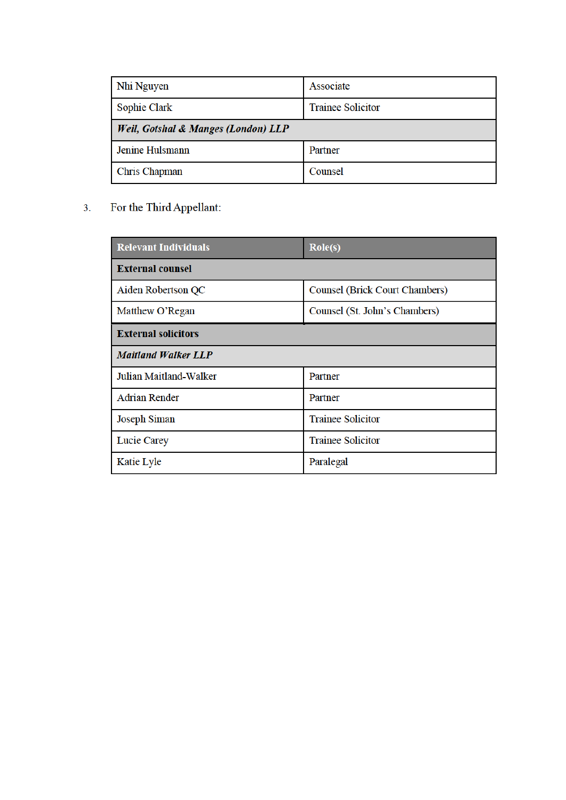| Nhi Nguyen                                     | Associate                |
|------------------------------------------------|--------------------------|
| <b>Sophie Clark</b>                            | <b>Trainee Solicitor</b> |
| <b>Weil, Gotshal &amp; Manges (London) LLP</b> |                          |
| Jenine Hulsmann                                | Partner                  |
| Chris Chapman                                  | Counsel                  |

For the Third Appellant:  $3.$ 

| <b>Relevant Individuals</b> | $\text{Role}(s)$               |
|-----------------------------|--------------------------------|
| <b>External counsel</b>     |                                |
| Aiden Robertson QC          | Counsel (Brick Court Chambers) |
| Matthew O'Regan             | Counsel (St. John's Chambers)  |
| <b>External solicitors</b>  |                                |
| <b>Maitland Walker LLP</b>  |                                |
| Julian Maitland-Walker      | Partner                        |
| <b>Adrian Render</b>        | Partner                        |
| <b>Joseph Siman</b>         | <b>Trainee Solicitor</b>       |
| <b>Lucie Carey</b>          | <b>Trainee Solicitor</b>       |
| Katie Lyle                  | Paralegal                      |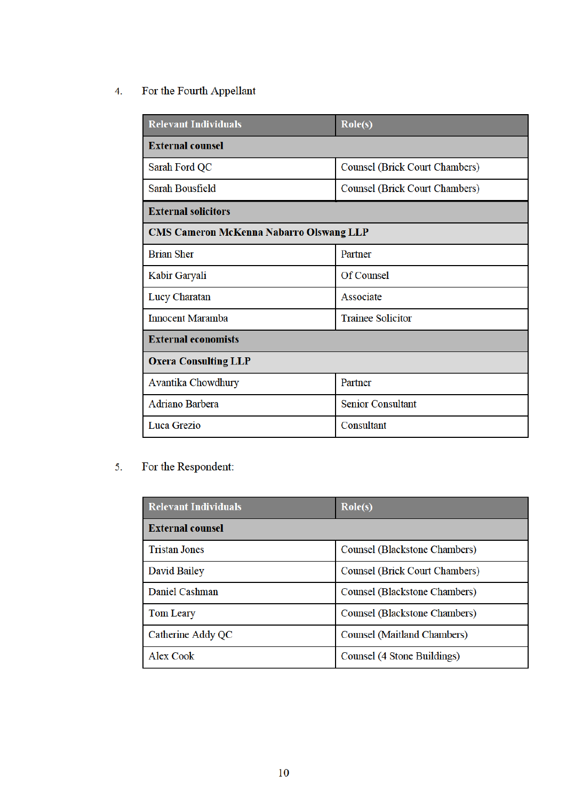#### For the Fourth Appellant  $\overline{4}$ .

| <b>Relevant Individuals</b>                    | $\text{Role}(s)$                      |
|------------------------------------------------|---------------------------------------|
| <b>External counsel</b>                        |                                       |
| Sarah Ford QC                                  | Counsel (Brick Court Chambers)        |
| Sarah Bousfield                                | <b>Counsel (Brick Court Chambers)</b> |
| <b>External solicitors</b>                     |                                       |
| <b>CMS Cameron McKenna Nabarro Olswang LLP</b> |                                       |
| <b>Brian Sher</b>                              | Partner                               |
| Kabir Garyali                                  | Of Counsel                            |
| Lucy Charatan                                  | Associate                             |
| <b>Innocent Maramba</b>                        | <b>Trainee Solicitor</b>              |
| <b>External economists</b>                     |                                       |
| <b>Oxera Consulting LLP</b>                    |                                       |
| Avantika Chowdhury                             | Partner                               |
| <b>Adriano Barbera</b>                         | <b>Senior Consultant</b>              |
| Luca Grezio                                    | Consultant                            |

#### For the Respondent:  $5<sub>1</sub>$

| <b>Relevant Individuals</b> | $\text{Role}(s)$                      |
|-----------------------------|---------------------------------------|
| <b>External counsel</b>     |                                       |
| <b>Tristan Jones</b>        | <b>Counsel (Blackstone Chambers)</b>  |
| David Bailey                | <b>Counsel (Brick Court Chambers)</b> |
| Daniel Cashman              | <b>Counsel (Blackstone Chambers)</b>  |
| <b>Tom Leary</b>            | Counsel (Blackstone Chambers)         |
| Catherine Addy QC           | Counsel (Maitland Chambers)           |
| <b>Alex Cook</b>            | Counsel (4 Stone Buildings)           |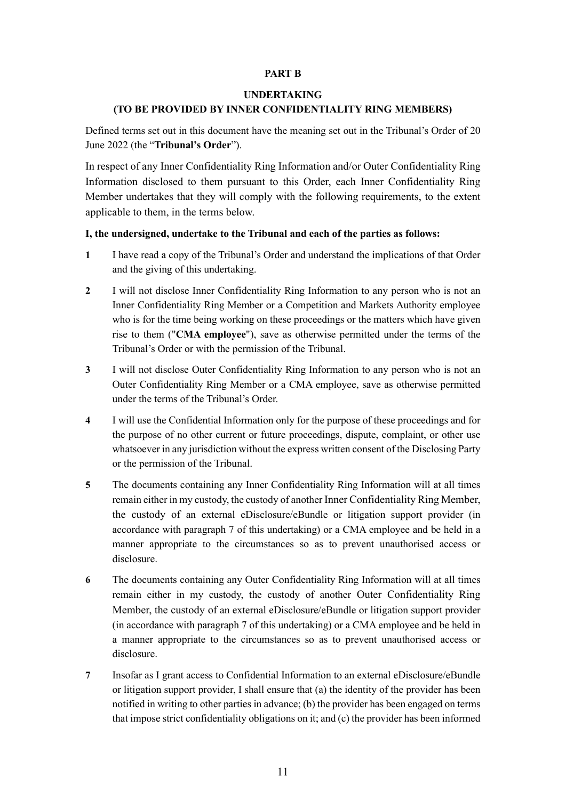### **PART B**

### **UNDERTAKING**

### **(TO BE PROVIDED BY INNER CONFIDENTIALITY RING MEMBERS)**

Defined terms set out in this document have the meaning set out in the Tribunal's Order of 20 June 2022 (the "**Tribunal's Order**").

In respect of any Inner Confidentiality Ring Information and/or Outer Confidentiality Ring Information disclosed to them pursuant to this Order, each Inner Confidentiality Ring Member undertakes that they will comply with the following requirements, to the extent applicable to them, in the terms below.

### **I, the undersigned, undertake to the Tribunal and each of the parties as follows:**

- **1** I have read a copy of the Tribunal's Order and understand the implications of that Order and the giving of this undertaking.
- **2** I will not disclose Inner Confidentiality Ring Information to any person who is not an Inner Confidentiality Ring Member or a Competition and Markets Authority employee who is for the time being working on these proceedings or the matters which have given rise to them ("**CMA employee**"), save as otherwise permitted under the terms of the Tribunal's Order or with the permission of the Tribunal.
- **3** I will not disclose Outer Confidentiality Ring Information to any person who is not an Outer Confidentiality Ring Member or a CMA employee, save as otherwise permitted under the terms of the Tribunal's Order.
- **4** I will use the Confidential Information only for the purpose of these proceedings and for the purpose of no other current or future proceedings, dispute, complaint, or other use whatsoever in any jurisdiction without the express written consent of the Disclosing Party or the permission of the Tribunal.
- **5** The documents containing any Inner Confidentiality Ring Information will at all times remain either in my custody, the custody of another Inner Confidentiality Ring Member, the custody of an external eDisclosure/eBundle or litigation support provider (in accordance with paragraph 7 of this undertaking) or a CMA employee and be held in a manner appropriate to the circumstances so as to prevent unauthorised access or disclosure.
- **6** The documents containing any Outer Confidentiality Ring Information will at all times remain either in my custody, the custody of another Outer Confidentiality Ring Member, the custody of an external eDisclosure/eBundle or litigation support provider (in accordance with paragraph 7 of this undertaking) or a CMA employee and be held in a manner appropriate to the circumstances so as to prevent unauthorised access or disclosure.
- **7** Insofar as I grant access to Confidential Information to an external eDisclosure/eBundle or litigation support provider, I shall ensure that (a) the identity of the provider has been notified in writing to other parties in advance; (b) the provider has been engaged on terms that impose strict confidentiality obligations on it; and (c) the provider has been informed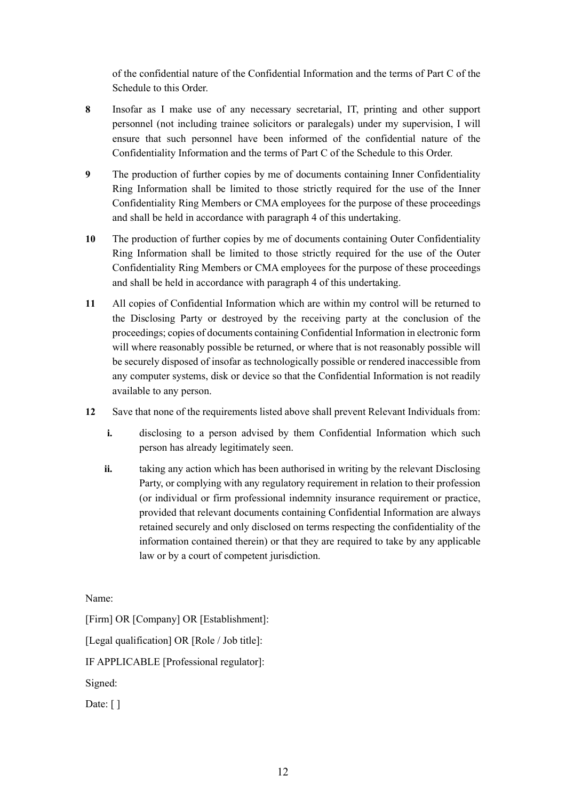of the confidential nature of the Confidential Information and the terms of Part C of the Schedule to this Order.

- **8** Insofar as I make use of any necessary secretarial, IT, printing and other support personnel (not including trainee solicitors or paralegals) under my supervision, I will ensure that such personnel have been informed of the confidential nature of the Confidentiality Information and the terms of Part C of the Schedule to this Order.
- **9** The production of further copies by me of documents containing Inner Confidentiality Ring Information shall be limited to those strictly required for the use of the Inner Confidentiality Ring Members or CMA employees for the purpose of these proceedings and shall be held in accordance with paragraph 4 of this undertaking.
- **10** The production of further copies by me of documents containing Outer Confidentiality Ring Information shall be limited to those strictly required for the use of the Outer Confidentiality Ring Members or CMA employees for the purpose of these proceedings and shall be held in accordance with paragraph 4 of this undertaking.
- **11** All copies of Confidential Information which are within my control will be returned to the Disclosing Party or destroyed by the receiving party at the conclusion of the proceedings; copies of documents containing Confidential Information in electronic form will where reasonably possible be returned, or where that is not reasonably possible will be securely disposed of insofar as technologically possible or rendered inaccessible from any computer systems, disk or device so that the Confidential Information is not readily available to any person.
- **12** Save that none of the requirements listed above shall prevent Relevant Individuals from:
	- **i.** disclosing to a person advised by them Confidential Information which such person has already legitimately seen.
	- **ii.** taking any action which has been authorised in writing by the relevant Disclosing Party, or complying with any regulatory requirement in relation to their profession (or individual or firm professional indemnity insurance requirement or practice, provided that relevant documents containing Confidential Information are always retained securely and only disclosed on terms respecting the confidentiality of the information contained therein) or that they are required to take by any applicable law or by a court of competent jurisdiction.

Name:

[Firm] OR [Company] OR [Establishment]:

[Legal qualification] OR [Role / Job title]:

IF APPLICABLE [Professional regulator]:

Signed:

Date: [ ]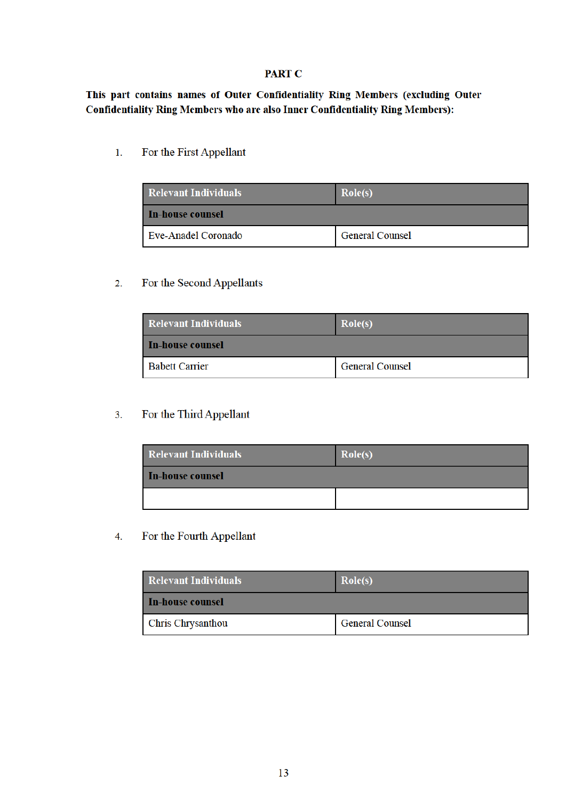### **PART C**

This part contains names of Outer Confidentiality Ring Members (excluding Outer **Confidentiality Ring Members who are also Inner Confidentiality Ring Members):** 

 $\overline{1}$ . For the First Appellant

| <b>Relevant Individuals</b> | Role(s)                |
|-----------------------------|------------------------|
| l In-house counsel          |                        |
| Eve-Anadel Coronado         | <b>General Counsel</b> |

#### For the Second Appellants  $2.$

| <b>Relevant Individuals</b> | Role(s)                |
|-----------------------------|------------------------|
| <b>In-house counsel</b>     |                        |
| <b>Babett Carrier</b>       | <b>General Counsel</b> |

#### For the Third Appellant  $3.$

| <b>Relevant Individuals</b> | Role(s) |
|-----------------------------|---------|
| In-house counsel            |         |
|                             |         |

#### $\overline{4}$ . For the Fourth Appellant

| <b>Relevant Individuals</b> | Role(s)                |
|-----------------------------|------------------------|
| In-house counsel            |                        |
| <b>Chris Chrysanthou</b>    | <b>General Counsel</b> |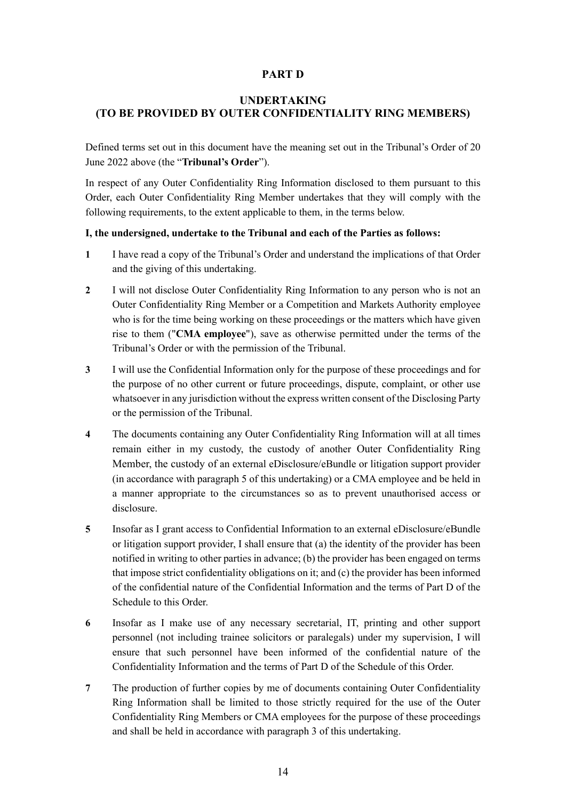# **PART D**

# **UNDERTAKING (TO BE PROVIDED BY OUTER CONFIDENTIALITY RING MEMBERS)**

Defined terms set out in this document have the meaning set out in the Tribunal's Order of 20 June 2022 above (the "**Tribunal's Order**").

In respect of any Outer Confidentiality Ring Information disclosed to them pursuant to this Order, each Outer Confidentiality Ring Member undertakes that they will comply with the following requirements, to the extent applicable to them, in the terms below.

### **I, the undersigned, undertake to the Tribunal and each of the Parties as follows:**

- **1** I have read a copy of the Tribunal's Order and understand the implications of that Order and the giving of this undertaking.
- **2** I will not disclose Outer Confidentiality Ring Information to any person who is not an Outer Confidentiality Ring Member or a Competition and Markets Authority employee who is for the time being working on these proceedings or the matters which have given rise to them ("**CMA employee**"), save as otherwise permitted under the terms of the Tribunal's Order or with the permission of the Tribunal.
- **3** I will use the Confidential Information only for the purpose of these proceedings and for the purpose of no other current or future proceedings, dispute, complaint, or other use whatsoever in any jurisdiction without the express written consent of the Disclosing Party or the permission of the Tribunal.
- **4** The documents containing any Outer Confidentiality Ring Information will at all times remain either in my custody, the custody of another Outer Confidentiality Ring Member, the custody of an external eDisclosure/eBundle or litigation support provider (in accordance with paragraph 5 of this undertaking) or a CMA employee and be held in a manner appropriate to the circumstances so as to prevent unauthorised access or disclosure.
- **5** Insofar as I grant access to Confidential Information to an external eDisclosure/eBundle or litigation support provider, I shall ensure that (a) the identity of the provider has been notified in writing to other parties in advance; (b) the provider has been engaged on terms that impose strict confidentiality obligations on it; and (c) the provider has been informed of the confidential nature of the Confidential Information and the terms of Part D of the Schedule to this Order.
- **6** Insofar as I make use of any necessary secretarial, IT, printing and other support personnel (not including trainee solicitors or paralegals) under my supervision, I will ensure that such personnel have been informed of the confidential nature of the Confidentiality Information and the terms of Part D of the Schedule of this Order.
- **7** The production of further copies by me of documents containing Outer Confidentiality Ring Information shall be limited to those strictly required for the use of the Outer Confidentiality Ring Members or CMA employees for the purpose of these proceedings and shall be held in accordance with paragraph 3 of this undertaking.